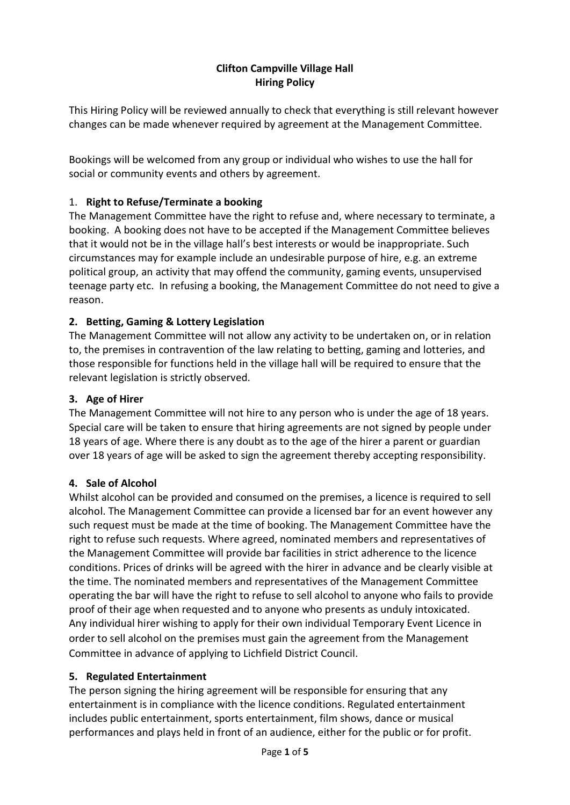# Clifton Campville Village Hall Hiring Policy

This Hiring Policy will be reviewed annually to check that everything is still relevant however changes can be made whenever required by agreement at the Management Committee.

Bookings will be welcomed from any group or individual who wishes to use the hall for social or community events and others by agreement.

## 1. Right to Refuse/Terminate a booking

The Management Committee have the right to refuse and, where necessary to terminate, a booking. A booking does not have to be accepted if the Management Committee believes that it would not be in the village hall's best interests or would be inappropriate. Such circumstances may for example include an undesirable purpose of hire, e.g. an extreme political group, an activity that may offend the community, gaming events, unsupervised teenage party etc. In refusing a booking, the Management Committee do not need to give a reason.

## 2. Betting, Gaming & Lottery Legislation

The Management Committee will not allow any activity to be undertaken on, or in relation to, the premises in contravention of the law relating to betting, gaming and lotteries, and those responsible for functions held in the village hall will be required to ensure that the relevant legislation is strictly observed.

## 3. Age of Hirer

The Management Committee will not hire to any person who is under the age of 18 years. Special care will be taken to ensure that hiring agreements are not signed by people under 18 years of age. Where there is any doubt as to the age of the hirer a parent or guardian over 18 years of age will be asked to sign the agreement thereby accepting responsibility.

### 4. Sale of Alcohol

Whilst alcohol can be provided and consumed on the premises, a licence is required to sell alcohol. The Management Committee can provide a licensed bar for an event however any such request must be made at the time of booking. The Management Committee have the right to refuse such requests. Where agreed, nominated members and representatives of the Management Committee will provide bar facilities in strict adherence to the licence conditions. Prices of drinks will be agreed with the hirer in advance and be clearly visible at the time. The nominated members and representatives of the Management Committee operating the bar will have the right to refuse to sell alcohol to anyone who fails to provide proof of their age when requested and to anyone who presents as unduly intoxicated. Any individual hirer wishing to apply for their own individual Temporary Event Licence in order to sell alcohol on the premises must gain the agreement from the Management Committee in advance of applying to Lichfield District Council.

### 5. Regulated Entertainment

The person signing the hiring agreement will be responsible for ensuring that any entertainment is in compliance with the licence conditions. Regulated entertainment includes public entertainment, sports entertainment, film shows, dance or musical performances and plays held in front of an audience, either for the public or for profit.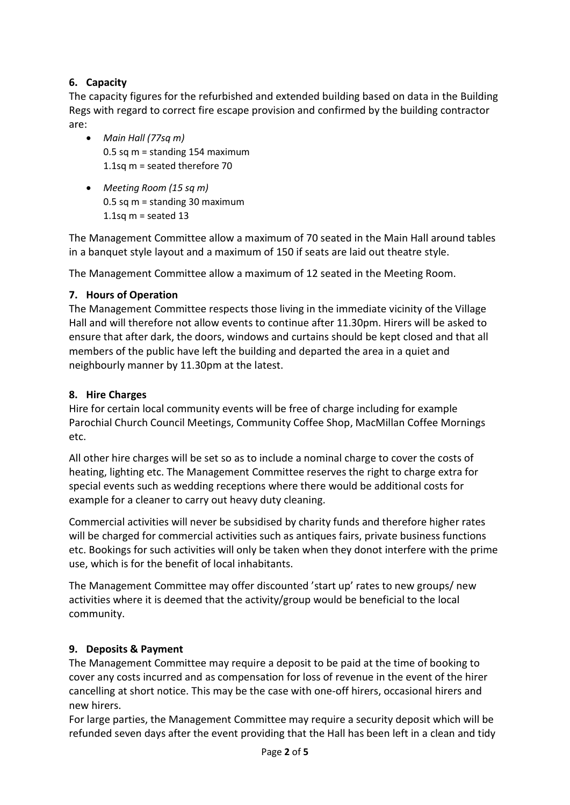# 6. Capacity

The capacity figures for the refurbished and extended building based on data in the Building Regs with regard to correct fire escape provision and confirmed by the building contractor are:

- Main Hall (77sq m) 0.5 sq m = standing 154 maximum 1.1sq m = seated therefore 70
- Meeting Room (15 sq m) 0.5 sq m = standing 30 maximum 1.1sq  $m =$  seated 13

The Management Committee allow a maximum of 70 seated in the Main Hall around tables in a banquet style layout and a maximum of 150 if seats are laid out theatre style.

The Management Committee allow a maximum of 12 seated in the Meeting Room.

### 7. Hours of Operation

The Management Committee respects those living in the immediate vicinity of the Village Hall and will therefore not allow events to continue after 11.30pm. Hirers will be asked to ensure that after dark, the doors, windows and curtains should be kept closed and that all members of the public have left the building and departed the area in a quiet and neighbourly manner by 11.30pm at the latest.

### 8. Hire Charges

Hire for certain local community events will be free of charge including for example Parochial Church Council Meetings, Community Coffee Shop, MacMillan Coffee Mornings etc.

All other hire charges will be set so as to include a nominal charge to cover the costs of heating, lighting etc. The Management Committee reserves the right to charge extra for special events such as wedding receptions where there would be additional costs for example for a cleaner to carry out heavy duty cleaning.

Commercial activities will never be subsidised by charity funds and therefore higher rates will be charged for commercial activities such as antiques fairs, private business functions etc. Bookings for such activities will only be taken when they donot interfere with the prime use, which is for the benefit of local inhabitants.

The Management Committee may offer discounted 'start up' rates to new groups/ new activities where it is deemed that the activity/group would be beneficial to the local community.

### 9. Deposits & Payment

The Management Committee may require a deposit to be paid at the time of booking to cover any costs incurred and as compensation for loss of revenue in the event of the hirer cancelling at short notice. This may be the case with one-off hirers, occasional hirers and new hirers.

For large parties, the Management Committee may require a security deposit which will be refunded seven days after the event providing that the Hall has been left in a clean and tidy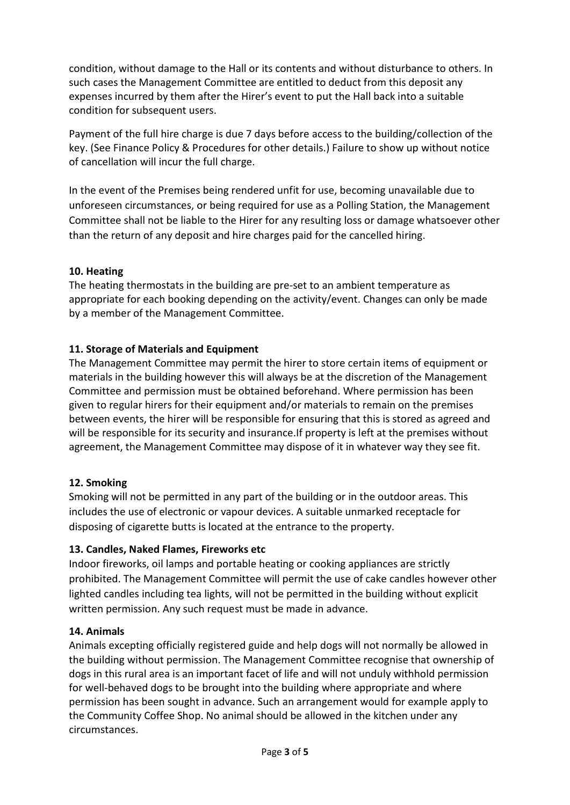condition, without damage to the Hall or its contents and without disturbance to others. In such cases the Management Committee are entitled to deduct from this deposit any expenses incurred by them after the Hirer's event to put the Hall back into a suitable condition for subsequent users.

Payment of the full hire charge is due 7 days before access to the building/collection of the key. (See Finance Policy & Procedures for other details.) Failure to show up without notice of cancellation will incur the full charge.

In the event of the Premises being rendered unfit for use, becoming unavailable due to unforeseen circumstances, or being required for use as a Polling Station, the Management Committee shall not be liable to the Hirer for any resulting loss or damage whatsoever other than the return of any deposit and hire charges paid for the cancelled hiring.

## 10. Heating

The heating thermostats in the building are pre-set to an ambient temperature as appropriate for each booking depending on the activity/event. Changes can only be made by a member of the Management Committee.

## 11. Storage of Materials and Equipment

The Management Committee may permit the hirer to store certain items of equipment or materials in the building however this will always be at the discretion of the Management Committee and permission must be obtained beforehand. Where permission has been given to regular hirers for their equipment and/or materials to remain on the premises between events, the hirer will be responsible for ensuring that this is stored as agreed and will be responsible for its security and insurance.If property is left at the premises without agreement, the Management Committee may dispose of it in whatever way they see fit.

### 12. Smoking

Smoking will not be permitted in any part of the building or in the outdoor areas. This includes the use of electronic or vapour devices. A suitable unmarked receptacle for disposing of cigarette butts is located at the entrance to the property.

### 13. Candles, Naked Flames, Fireworks etc

Indoor fireworks, oil lamps and portable heating or cooking appliances are strictly prohibited. The Management Committee will permit the use of cake candles however other lighted candles including tea lights, will not be permitted in the building without explicit written permission. Any such request must be made in advance.

### 14. Animals

Animals excepting officially registered guide and help dogs will not normally be allowed in the building without permission. The Management Committee recognise that ownership of dogs in this rural area is an important facet of life and will not unduly withhold permission for well-behaved dogs to be brought into the building where appropriate and where permission has been sought in advance. Such an arrangement would for example apply to the Community Coffee Shop. No animal should be allowed in the kitchen under any circumstances.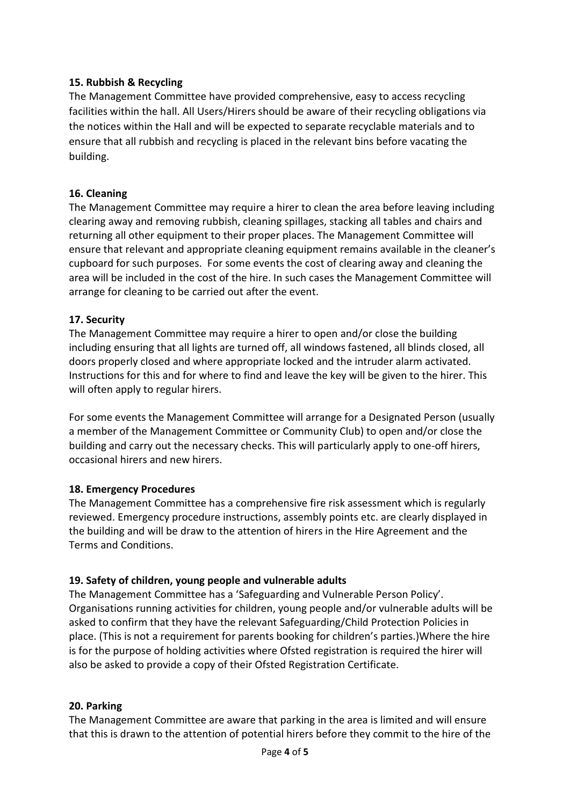### 15. Rubbish & Recycling

The Management Committee have provided comprehensive, easy to access recycling facilities within the hall. All Users/Hirers should be aware of their recycling obligations via the notices within the Hall and will be expected to separate recyclable materials and to ensure that all rubbish and recycling is placed in the relevant bins before vacating the building.

#### 16. Cleaning

The Management Committee may require a hirer to clean the area before leaving including clearing away and removing rubbish, cleaning spillages, stacking all tables and chairs and returning all other equipment to their proper places. The Management Committee will ensure that relevant and appropriate cleaning equipment remains available in the cleaner's cupboard for such purposes. For some events the cost of clearing away and cleaning the area will be included in the cost of the hire. In such cases the Management Committee will arrange for cleaning to be carried out after the event.

#### 17. Security

The Management Committee may require a hirer to open and/or close the building including ensuring that all lights are turned off, all windows fastened, all blinds closed, all doors properly closed and where appropriate locked and the intruder alarm activated. Instructions for this and for where to find and leave the key will be given to the hirer. This will often apply to regular hirers.

For some events the Management Committee will arrange for a Designated Person (usually a member of the Management Committee or Community Club) to open and/or close the building and carry out the necessary checks. This will particularly apply to one-off hirers, occasional hirers and new hirers.

#### 18. Emergency Procedures

The Management Committee has a comprehensive fire risk assessment which is regularly reviewed. Emergency procedure instructions, assembly points etc. are clearly displayed in the building and will be draw to the attention of hirers in the Hire Agreement and the Terms and Conditions.

#### 19. Safety of children, young people and vulnerable adults

The Management Committee has a 'Safeguarding and Vulnerable Person Policy'. Organisations running activities for children, young people and/or vulnerable adults will be asked to confirm that they have the relevant Safeguarding/Child Protection Policies in place. (This is not a requirement for parents booking for children's parties.)Where the hire is for the purpose of holding activities where Ofsted registration is required the hirer will also be asked to provide a copy of their Ofsted Registration Certificate.

### 20. Parking

The Management Committee are aware that parking in the area is limited and will ensure that this is drawn to the attention of potential hirers before they commit to the hire of the